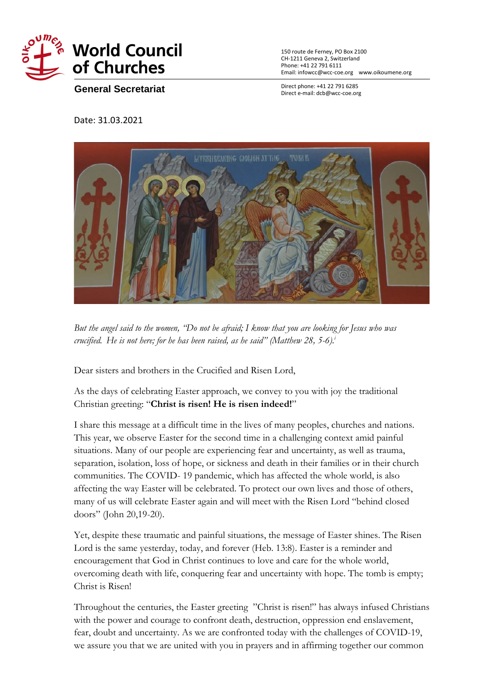

150 route de Ferney, PO Box 2100 CH-1211 Geneva 2, Switzerland Phone: +41 22 791 6111 Email: infowcc@wcc-coe.org [www.oikoumene.org](http://www.oikoumene.org/)

**General Secretariat**

Direct phone: +41 22 791 6285 Direct e-mail: dcb@wcc-coe.org

Date: 31.03.2021



But the angel said to the women, 'Do not be afraid; I know that you are looking for Jesus who was *crucified. He is not here; for he has been raised, as he said" (Matthew 28, 5-6).<sup>i</sup>*

Dear sisters and brothers in the Crucified and Risen Lord,

As the days of celebrating Easter approach, we convey to you with joy the traditional Christian greeting: "**Christ is risen! He is risen indeed!**"

I share this message at a difficult time in the lives of many peoples, churches and nations. This year, we observe Easter for the second time in a challenging context amid painful situations. Many of our people are experiencing fear and uncertainty, as well as trauma, separation, isolation, loss of hope, or sickness and death in their families or in their church communities. The COVID- 19 pandemic, which has affected the whole world, is also affecting the way Easter will be celebrated. To protect our own lives and those of others, many of us will celebrate Easter again and will meet with the Risen Lord "behind closed doors" (John 20,19-20).

Yet, despite these traumatic and painful situations, the message of Easter shines. The Risen Lord is the same yesterday, today, and forever (Heb. 13:8). Easter is a reminder and encouragement that God in Christ continues to love and care for the whole world, overcoming death with life, conquering fear and uncertainty with hope. The tomb is empty; Christ is Risen!

Throughout the centuries, the Easter greeting "Christ is risen!" has always infused Christians with the power and courage to confront death, destruction, oppression end enslavement, fear, doubt and uncertainty. As we are confronted today with the challenges of COVID-19, we assure you that we are united with you in prayers and in affirming together our common